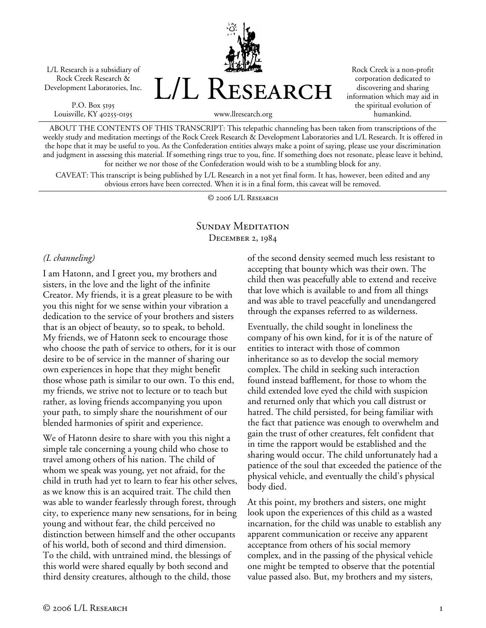L/L Research is a subsidiary of Rock Creek Research & Development Laboratories, Inc.

P.O. Box 5195 Louisville, KY 40255-0195 L/L Research

Rock Creek is a non-profit corporation dedicated to discovering and sharing information which may aid in the spiritual evolution of humankind.

www.llresearch.org

ABOUT THE CONTENTS OF THIS TRANSCRIPT: This telepathic channeling has been taken from transcriptions of the weekly study and meditation meetings of the Rock Creek Research & Development Laboratories and L/L Research. It is offered in the hope that it may be useful to you. As the Confederation entities always make a point of saying, please use your discrimination and judgment in assessing this material. If something rings true to you, fine. If something does not resonate, please leave it behind, for neither we nor those of the Confederation would wish to be a stumbling block for any.

CAVEAT: This transcript is being published by L/L Research in a not yet final form. It has, however, been edited and any obvious errors have been corrected. When it is in a final form, this caveat will be removed.

© 2006 L/L Research

## SUNDAY MEDITATION December 2, 1984

## *(L channeling)*

I am Hatonn, and I greet you, my brothers and sisters, in the love and the light of the infinite Creator. My friends, it is a great pleasure to be with you this night for we sense within your vibration a dedication to the service of your brothers and sisters that is an object of beauty, so to speak, to behold. My friends, we of Hatonn seek to encourage those who choose the path of service to others, for it is our desire to be of service in the manner of sharing our own experiences in hope that they might benefit those whose path is similar to our own. To this end, my friends, we strive not to lecture or to teach but rather, as loving friends accompanying you upon your path, to simply share the nourishment of our blended harmonies of spirit and experience.

We of Hatonn desire to share with you this night a simple tale concerning a young child who chose to travel among others of his nation. The child of whom we speak was young, yet not afraid, for the child in truth had yet to learn to fear his other selves, as we know this is an acquired trait. The child then was able to wander fearlessly through forest, through city, to experience many new sensations, for in being young and without fear, the child perceived no distinction between himself and the other occupants of his world, both of second and third dimension. To the child, with untrained mind, the blessings of this world were shared equally by both second and third density creatures, although to the child, those

of the second density seemed much less resistant to accepting that bounty which was their own. The child then was peacefully able to extend and receive that love which is available to and from all things and was able to travel peacefully and unendangered through the expanses referred to as wilderness.

Eventually, the child sought in loneliness the company of his own kind, for it is of the nature of entities to interact with those of common inheritance so as to develop the social memory complex. The child in seeking such interaction found instead bafflement, for those to whom the child extended love eyed the child with suspicion and returned only that which you call distrust or hatred. The child persisted, for being familiar with the fact that patience was enough to overwhelm and gain the trust of other creatures, felt confident that in time the rapport would be established and the sharing would occur. The child unfortunately had a patience of the soul that exceeded the patience of the physical vehicle, and eventually the child's physical body died.

At this point, my brothers and sisters, one might look upon the experiences of this child as a wasted incarnation, for the child was unable to establish any apparent communication or receive any apparent acceptance from others of his social memory complex, and in the passing of the physical vehicle one might be tempted to observe that the potential value passed also. But, my brothers and my sisters,